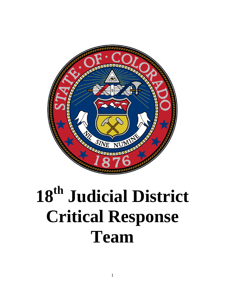

# **18th Judicial District Critical Response Team**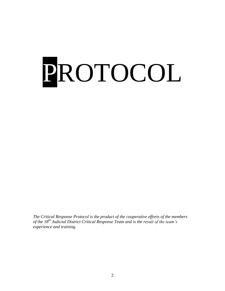# PROTOCOL

*The Critical Response Protocol is the product of the cooperative efforts of the members of the 18th Judicial District Critical Response Team and is the result of the team's experience and training.*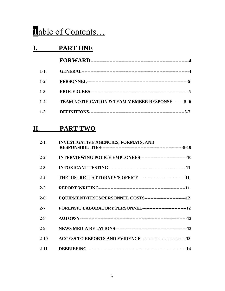# Table of Contents...

# **I. PART ONE**

| $1 - 1$ |                                                                |
|---------|----------------------------------------------------------------|
| $1 - 2$ |                                                                |
| $1 - 3$ |                                                                |
| $1 - 4$ | <b>TEAM NOTIFICATION &amp; TEAM MEMBER RESPONSE--------5-6</b> |
| $1 - 5$ |                                                                |

# **II. PART TWO**

| $2 - 1$  | <b>INVESTIGATIVE AGENCIES, FORMATS, AND</b>                        |  |
|----------|--------------------------------------------------------------------|--|
| $2 - 2$  |                                                                    |  |
| $2 - 3$  |                                                                    |  |
| $2 - 4$  |                                                                    |  |
| $2 - 5$  |                                                                    |  |
| $2 - 6$  | EQUIPMENT/TESTS/PERSONNEL COSTS----------------------------12      |  |
| $2 - 7$  |                                                                    |  |
| $2 - 8$  |                                                                    |  |
| $2 - 9$  |                                                                    |  |
| $2 - 10$ | ACCESS TO REPORTS AND EVIDENCE----------------------------------13 |  |
| $2 - 11$ |                                                                    |  |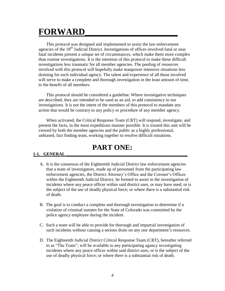# **FORWARD\_\_\_\_\_\_\_\_\_\_\_\_\_\_\_\_\_\_\_\_\_**

This protocol was designed and implemented to assist the law enforcement agencies of the  $18<sup>th</sup>$  Judicial District. Investigations of officer-involved fatal or near fatal incidents present a unique set of circumstances, which make them more complex than routine investigations. It is the intention of this protocol to make these difficult investigations less traumatic for all member agencies. The pooling of resources involved with this protocol will hopefully make manpower intensive situations less draining for each individual agency. The talent and experience of all those involved will serve to make a complete and thorough investigation in the least amount of time, to the benefit of all members.

This protocol should be considered a guideline. Where investigative techniques are described, they are intended to be used as an aid, to add consistency to our investigations. It is not the intent of the members of this protocol to mandate any action that would be contrary to any policy or procedure of any member agency.

When activated, the Critical Response Team (CRT) will respond, investigate, and present the facts, in the most expeditious manner possible. It is trusted this unit will be viewed by both the member agencies and the public as a highly professional, unbiased, fact finding team, working together to resolve difficult situations.

# **PART ONE:**

# 1-1. **GENERAL**

- A. It is the consensus of the Eighteenth Judicial District law enforcement agencies that a team of investigators, made up of personnel from the participating law enforcement agencies, the District Attorney's Office and the Coroner's Offices within the Eighteenth Judicial District, be formed to assist in the investigation of incidents where any peace officer within said district uses, or may have used, or is the subject of the use of deadly physical force; or where there is a substantial risk of death.
- B. The goal is to conduct a complete and thorough investigation to determine if a violation of criminal statutes for the State of Colorado was committed by the police agency employee during the incident.
- C. Such a team will be able to provide for thorough and impartial investigation of such incidents without causing a serious drain on any one department's resources.
- D. The Eighteenth Judicial District Critical Response Team (CRT), hereafter referred to as "The Team", will be available to any participating agency investigating incidents where any peace officer within said district uses, or is the subject of the use of deadly physical force; or where there is a substantial risk of death.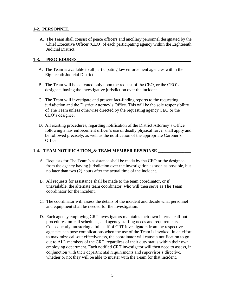## **1-2. PERSONNEL\_\_\_\_\_\_\_\_\_\_\_\_\_\_\_\_\_\_\_\_\_\_\_\_\_\_\_\_\_\_\_\_\_\_\_\_\_\_\_\_\_\_\_\_\_\_\_\_\_\_\_\_\_\_\_**

A. The Team shall consist of peace officers and ancillary personnel designated by the Chief Executive Officer (CEO) of each participating agency within the Eighteenth Judicial District.

## 1-3. **PROCEDURES**

- A. The Team is available to all participating law enforcement agencies within the Eighteenth Judicial District.
- B. The Team will be activated only upon the request of the CEO, or the CEO's designee, having the investigative jurisdiction over the incident.
- C. The Team will investigate and present fact-finding reports to the requesting jurisdiction and the District Attorney's Office. This will be the sole responsibility of The Team unless otherwise directed by the requesting agency CEO or the CEO's designee.
- D. All existing procedures, regarding notification of the District Attorney's Office following a law enforcement officer's use of deadly physical force, shall apply and be followed precisely, as well as the notification of the appropriate Coroner's Office.

# **1-4. TEAM NOTIFICATION\_& TEAM MEMBER RESPONSE**

- A. Requests for The Team's assistance shall be made by the CEO or the designee from the agency having jurisdiction over the investigation as soon as possible, but no later than two (2) hours after the actual time of the incident.
- B. All requests for assistance shall be made to the team coordinator, or if unavailable, the alternate team coordinator, who will then serve as The Team coordinator for the incident.
- C. The coordinator will assess the details of the incident and decide what personnel and equipment shall be needed for the investigation.
- D. Each agency employing CRT investigators maintains their own internal call-out procedures, on-call schedules, and agency staffing needs and requirements. Consequently, mustering a full staff of CRT investigators from the respective agencies can pose complications when the use of the Team is invoked. In an effort to maximize call-out effectiveness, the coordinator will cause a notification to go out to ALL members of the CRT, regardless of their duty status within their own employing department. Each notified CRT investigator will then need to assess, in conjunction with their departmental requirements and supervisor's directive, whether or not they will be able to muster with the Team for that incident.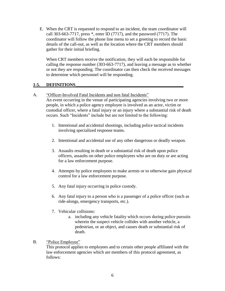E. When the CRT is requested to respond to an incident, the team coordinator will call 303-663-7717, press \*, enter ID (7717), and the password (7717). The coordinator will follow the phone line menu to set a greeting to record the basic details of the call-out, as well as the location where the CRT members should gather for their initial briefing.

When CRT members receive the notification, they will each be responsible for calling the response number (303-663-7717), and leaving a message as to whether or not they are responding. The coordinator can then check the received messages to determine which personnel will be responding.

# **1-5. DEFINITIONS\_\_\_\_\_\_\_\_\_\_\_\_\_\_\_\_\_\_\_\_\_\_\_\_\_\_\_\_\_\_\_\_\_\_\_\_\_\_\_\_\_\_\_\_\_\_\_\_\_**

# A. "Officer-Involved Fatal Incidents and non fatal Incidents"

An event occurring in the venue of participating agencies involving two or more people, in which a police agency employee is involved as an actor, victim or custodial officer, where a fatal injury or an injury where a substantial risk of death occurs. Such "Incidents" include but are not limited to the following:

- 1. Intentional and accidental shootings, including police tactical incidents involving specialized response teams.
- 2. Intentional and accidental use of any other dangerous or deadly weapon.
- 3. Assaults resulting in death or a substantial risk of death upon police officers, assaults on other police employees who are on duty or are acting for a law enforcement purpose.
- 4. Attempts by police employees to make arrests or to otherwise gain physical control for a law enforcement purpose.
- 5. Any fatal injury occurring in police custody.
- 6. Any fatal injury to a person who is a passenger of a police officer (such as ride-alongs, emergency transports, etc.).
- 7. Vehicular collisions:
	- a. including any vehicle fatality which occurs during police pursuits wherein the suspect vehicle collides with another vehicle, a pedestrian, or an object, and causes death or substantial risk of death.

# B. "Police Employee"

This protocol applies to employees and to certain other people affiliated with the law enforcement agencies which are members of this protocol agreement, as follows: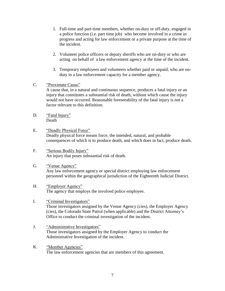- 1. Full-time and part-time members, whether on-duty or off-duty, engaged in a police function (i.e. part time job) who become involved in a crime in progress and acting for law enforcement or a private purpose at the time of the incident.
- 2. Volunteer police officers or deputy sheriffs who are on-duty or who are acting on behalf of a law enforcement agency at the time of the incident.
- 3. Temporary employees and volunteers whether paid or unpaid, who are onduty in a law enforcement capacity for a member agency.
- C. "Proximate Cause"

A cause that, in a natural and continuous sequence, produces a fatal injury or an injury that constitutes a substantial risk of death, without which cause the injury would not have occurred. Reasonable foreseeability of the fatal injury is not a factor relevant to this definition.

- D. "Fatal Injury" Death
- E. "Deadly Physical Force" Deadly physical force means force, the intended, natural, and probable consequences of which is to produce death, and which does in fact, produce death.
- F. "Serious Bodily Injury" An injury that poses substantial risk of death.
- G. "Venue Agency" Any law enforcement agency or special district employing law enforcement personnel within the geographical jurisdiction of the Eighteenth Judicial District.
- H. "Employer Agency" The agency that employs the involved police employee.
- I. "Criminal Investigators" Those investigators assigned by the Venue Agency (cies), the Employer Agency (cies), the Colorado State Patrol (when applicable) and the District Attorney's Office to conduct the criminal investigation of the incident.
- J. "Administrative Investigators" Those investigators assigned by the Employer Agency to conduct the Administrative Investigation of the incident.
- K. "Member Agencies" The law enforcement agencies that are members of this agreement.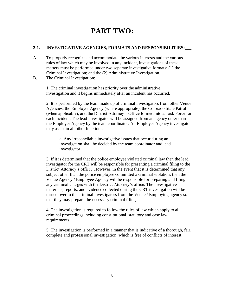# **PART TWO:**

# **2-1. INVESTIGATIVE AGENCIES, FORMATS AND RESPONSIBILITIES:\_\_\_**

- A. To properly recognize and accommodate the various interests and the various rules of law which may be involved in any incident, investigations of these matters must be performed under two separate investigative formats: (1) the Criminal Investigation; and the (2) Administrative Investigation.
- B. The Criminal Investigation:

1. The criminal investigation has priority over the administrative investigation and it begins immediately after an incident has occurred.

2. It is performed by the team made up of criminal investigators from other Venue Agencies, the Employer Agency (where appropriate), the Colorado State Patrol (when applicable), and the District Attorney's Office formed into a Task Force for each incident. The lead investigator will be assigned from an agency other than the Employer Agency by the team coordinator. An Employer Agency investigator may assist in all other functions.

a. Any irreconcilable investigative issues that occur during an investigation shall be decided by the team coordinator and lead investigator.

3. If it is determined that the police employee violated criminal law then the lead investigator for the CRT will be responsible for presenting a criminal filing to the District Attorney's office. However, in the event that it is determined that any subject other than the police employee committed a criminal violation, then the Venue Agency / Employee Agency will be responsible for preparing and filing any criminal charges with the District Attorney's office. The investigative materials, reports, and evidence collected during the CRT investigation will be turned over to the criminal investigators from the Venue / Employing agency so that they may prepare the necessary criminal filings.

4. The investigation is required to follow the rules of law which apply to all criminal proceedings including constitutional, statutory and case law requirements.

5. The investigation is performed in a manner that is indicative of a thorough, fair, complete and professional investigation, which is free of conflicts of interest.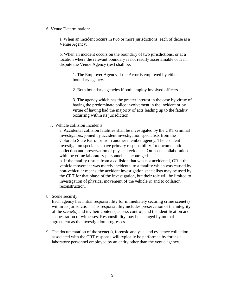6. Venue Determination:

a. When an incident occurs in two or more jurisdictions, each of those is a Venue Agency.

b. When an incident occurs on the boundary of two jurisdictions, or at a location where the relevant boundary is not readily ascertainable or is in dispute the Venue Agency (ies) shall be:

1. The Employer Agency if the Actor is employed by either boundary agency.

2. Both boundary agencies if both employ involved officers.

3. The agency which has the greater interest in the case by virtue of having the predominate police involvement in the incident or by virtue of having had the majority of acts leading up to the fatality occurring within its jurisdiction.

7. Vehicle collision Incidents:

a. Accidental collision fatalities shall be investigated by the CRT criminal investigators, joined by accident investigation specialists from the Colorado State Patrol or from another member agency. The accident investigation specialists have primary responsibility for documentation, collection and preservation of physical evidence. On-scene collaboration with the crime laboratory personnel is encouraged.

b. If the fatality results from a collision that was not accidental, OR if the vehicle movement was merely incidental to a fatality which was caused by non-vehicular means, the accident investigation specialists may be used by the CRT for that phase of the investigation, but their role will be limited to investigation of physical movement of the vehicle(s) and to collision reconstruction.

8. Scene security:

Each agency has initial responsibility for immediately securing crime scene(s) within its jurisdiction. This responsibility includes preservation of the integrity of the scene(s) and its/their contents, access control, and the identification and sequestration of witnesses. Responsibility may be changed by mutual agreement as the investigation progresses.

9. The documentation of the scene(s), forensic analysis, and evidence collection associated with the CRT response will typically be performed by forensic laboratory personnel employed by an entity other than the venue agency.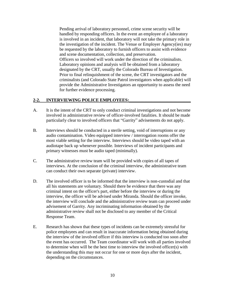Pending arrival of laboratory personnel, crime scene security will be handled by responding officers. In the event an employee of a laboratory is involved in an incident, that laboratory will not take the primary role in the investigation of the incident. The Venue or Employer Agency(ies) may be requested by the laboratory to furnish officers to assist with evidence and scene documentation, collection, and preservation. Officers so involved will work under the direction of the criminalists. Laboratory opinions and analysis will be obtained from a laboratory designated by the CRT, usually the Colorado Bureau of Investigation. Prior to final relinquishment of the scene, the CRT investigators and the criminalists (and Colorado State Patrol investigators when applicable) will provide the Administrative Investigators an opportunity to assess the need for further evidence processing.

### 2-2. **INTERVIEWING POLICE EMPLOYEES:**

- A. It is the intent of the CRT to only conduct criminal investigations and not become involved in administrative review of officer-involved fatalities. It should be made particularly clear to involved officers that "Garrity" advisements do not apply.
- B. Interviews should be conducted in a sterile setting, void of interruptions or any audio contamination. Video equipped interview / interrogation rooms offer the most viable setting for the interview. Interviews should be video taped with an audiotape back up whenever possible. Interviews of incident participants and primary witnesses must be audio taped (minimally).
- C. The administrative review team will be provided with copies of all tapes of interviews. At the conclusion of the criminal interview, the administrative team can conduct their own separate (private) interview.
- D. The involved officer is to be informed that the interview is non-custodial and that all his statements are voluntary. Should there be evidence that there was any criminal intent on the officer's part, either before the interview or during the interview, the officer will be advised under Miranda. Should the officer invoke, the interview will conclude and the administrative review team can proceed under advisement of Garrity. Any incriminating information obtained by the administrative review shall not be disclosed to any member of the Critical Response Team.
- E. Research has shown that these types of incidents can be extremely stressful for police employees and can result in inaccurate information being obtained during the interview of the involved officer if this interview is conducted too soon after the event has occurred. The Team coordinator will work with all parties involved to determine when will be the best time to interview the involved officer(s) with the understanding this may not occur for one or more days after the incident, depending on the circumstances.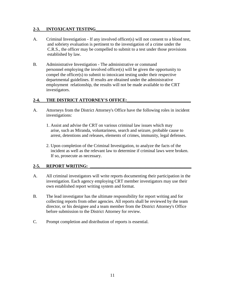## **2-3. INTOXICANT TESTING\_\_\_\_\_\_\_\_\_\_\_\_\_\_\_\_\_\_\_\_\_\_\_\_\_\_\_\_\_\_\_\_\_\_\_\_\_\_\_\_\_\_\_**

- A. Criminal Investigation If any involved officer(s) will not consent to a blood test, and sobriety evaluation is pertinent to the investigation of a crime under the C.R.S., the officer may be compelled to submit to a test under those provisions established by law.
- B. Administrative Investigation The administrative or command personnel employing the involved officer(s) will be given the opportunity to compel the officer(s) to submit to intoxicant testing under their respective departmental guidelines. If results are obtained under the administrative employment relationship, the results will not be made available to the CRT investigators.

### 2-4. THE DISTRICT ATTORNEY'S OFFICE:

- A. Attorneys from the District Attorney's Office have the following roles in incident investigations:
	- 1. Assist and advise the CRT on various criminal law issues which may arise, such as Miranda, voluntariness, search and seizure, probable cause to arrest, detentions and releases, elements of crimes, immunity, legal defenses.
	- 2. Upon completion of the Criminal Investigation, to analyze the facts of the incident as well as the relevant law to determine if criminal laws were broken. If so, prosecute as necessary.

# **2-5. REPORT WRITING: \_\_\_\_\_\_\_\_\_\_\_\_\_\_\_\_\_\_\_\_\_\_\_\_\_\_\_\_\_\_\_\_\_\_\_\_\_\_\_\_\_\_\_\_\_\_**

- A. All criminal investigators will write reports documenting their participation in the investigation. Each agency employing CRT member investigators may use their own established report writing system and format.
- B. The lead investigator has the ultimate responsibility for report writing and for collecting reports from other agencies. All reports shall be reviewed by the team director, or his designee and a team member from the District Attorney's Office before submission to the District Attorney for review.
- C. Prompt completion and distribution of reports is essential.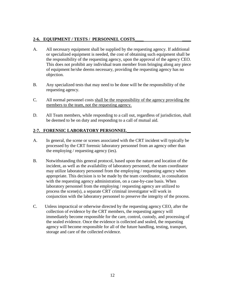# **2-6. EQUIPMENT / TESTS / PERSONNEL COSTS\_\_\_\_ \_\_\_\_**

- A. All necessary equipment shall be supplied by the requesting agency. If additional or specialized equipment is needed, the cost of obtaining such equipment shall be the responsibility of the requesting agency, upon the approval of the agency CEO. This does not prohibit any individual team member from bringing along any piece of equipment he/she deems necessary, providing the requesting agency has no objection.
- B. Any specialized tests that may need to be done will be the responsibility of the requesting agency.
- C. All normal personnel costs shall be the responsibility of the agency providing the members to the team, not the requesting agency.
- D. All Team members, while responding to a call out, regardless of jurisdiction, shall be deemed to be on duty and responding to a call of mutual aid.

# **2-7. FORENSIC LABORATORY PERSONNEL\_\_\_\_\_\_\_\_\_\_\_\_\_\_\_\_\_\_\_\_\_\_\_\_\_\_\_\_\_**

- A. In general, the scene or scenes associated with the CRT incident will typically be processed by the CRT forensic laboratory personnel from an agency other than the employing / requesting agency (ies).
- B. Notwithstanding this general protocol, based upon the nature and location of the incident, as well as the availability of laboratory personnel, the team coordinator may utilize laboratory personnel from the employing / requesting agency when appropriate. This decision is to be made by the team coordinator, in consultation with the requesting agency administration, on a case-by-case basis. When laboratory personnel from the employing / requesting agency are utilized to process the scene(s), a separate CRT criminal investigator will work in conjunction with the laboratory personnel to preserve the integrity of the process.
- C. Unless impractical or otherwise directed by the requesting agency CEO, after the collection of evidence by the CRT members, the requesting agency will immediately become responsible for the care, control, custody, and processing of the sealed evidence. Once the evidence is collected and sealed, the requesting agency will become responsible for all of the future handling, testing, transport, storage and care of the collected evidence.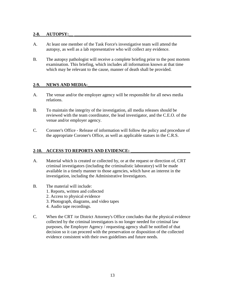### **2-8. AUTOPSY:\_\_ \_\_\_\_\_\_\_\_\_\_\_\_\_\_\_\_\_\_\_\_\_\_\_\_\_\_\_\_\_\_\_\_\_\_\_\_\_\_\_\_\_\_\_\_\_\_\_\_\_\_\_\_\_**

- A. At least one member of the Task Force's investigative team will attend the autopsy, as well as a lab representative who will collect any evidence.
- B. The autopsy pathologist will receive a complete briefing prior to the post mortem examination. This briefing, which includes all information known at that time which may be relevant to the cause, manner of death shall be provided.

# **2-9. NEWS AND MEDIA:\_\_\_\_\_\_\_\_\_\_\_\_\_\_\_\_\_\_\_\_\_\_\_\_\_\_\_\_\_\_\_\_\_\_\_\_\_\_\_\_\_\_\_\_\_\_\_**

- A. The venue and/or the employer agency will be responsible for all news media relations.
- B. To maintain the integrity of the investigation, all media releases should be reviewed with the team coordinator, the lead investigator, and the C.E.O. of the venue and/or employer agency.
- C. Coroner's Office Release of information will follow the policy and procedure of the appropriate Coroner's Office, as well as applicable statues in the C.R.S.

# 2-10. ACCESS TO REPORTS AND EVIDENCE:

- A. Material which is created or collected by, or at the request or direction of, CRT criminal investigators (including the criminalistic laboratory) will be made available in a timely manner to those agencies, which have an interest in the investigation, including the Administrative Investigators.
- B. The material will include:
	- 1. Reports, written and collected
	- 2. Access to physical evidence
	- 3. Photograph, diagrams, and video tapes
	- 4. Audio tape recordings.
- C. When the CRT /or District Attorney's Office concludes that the physical evidence collected by the criminal investigators is no longer needed for criminal law purposes, the Employer Agency / requesting agency shall be notified of that decision so it can proceed with the preservation or disposition of the collected evidence consistent with their own guidelines and future needs.